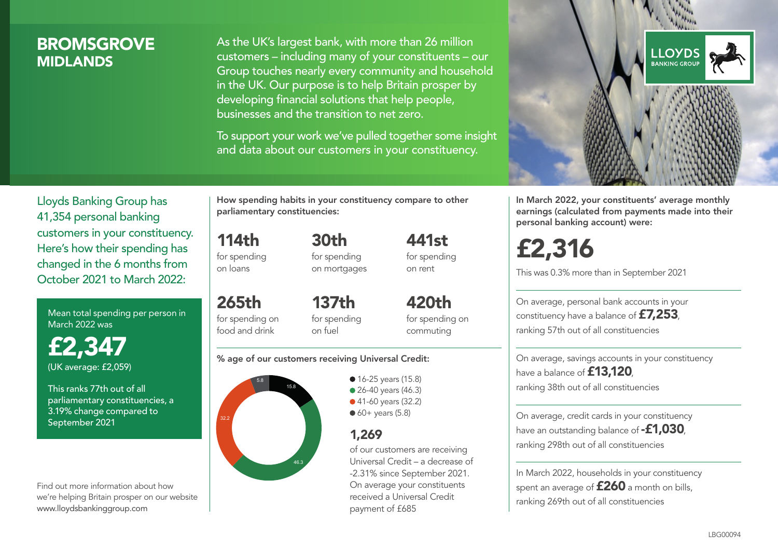## **BROMSGROVE MIDI ANDS**

As the UK's largest bank, with more than 26 million customers – including many of your constituents – our Group touches nearly every community and household in the UK. Our purpose is to help Britain prosper by developing financial solutions that help people, businesses and the transition to net zero.

To support your work we've pulled together some insight and data about our customers in your constituency.



Mean total spending per person in March 2022 was

£2,347 (UK average: £2,059)

This ranks 77th out of all parliamentary constituencies, a 3.19% change compared to September 2021

Find out more information about how we're helping Britain prosper on our website www.lloydsbankinggroup.com

How spending habits in your constituency compare to other parliamentary constituencies:

114th for spending on loans 30th

for spending on mortgages

265th for spending on food and drink 137th for spending on fuel

420th for spending on commuting

441st for spending on rent

#### % age of our customers receiving Universal Credit:



• 16-25 years (15.8) • 26-40 years (46.3) ● 41-60 years (32.2)  $60+$  years (5.8)

### 1,269

of our customers are receiving Universal Credit – a decrease of -2.31% since September 2021. On average your constituents received a Universal Credit payment of £685



In March 2022, your constituents' average monthly earnings (calculated from payments made into their personal banking account) were:

£2,316

This was 0.3% more than in September 2021

On average, personal bank accounts in your constituency have a balance of £7,253, ranking 57th out of all constituencies

On average, savings accounts in your constituency have a balance of **£13,120** ranking 38th out of all constituencies

On average, credit cards in your constituency have an outstanding balance of **-£1,030** ranking 298th out of all constituencies

In March 2022, households in your constituency spent an average of **£260** a month on bills, ranking 269th out of all constituencies